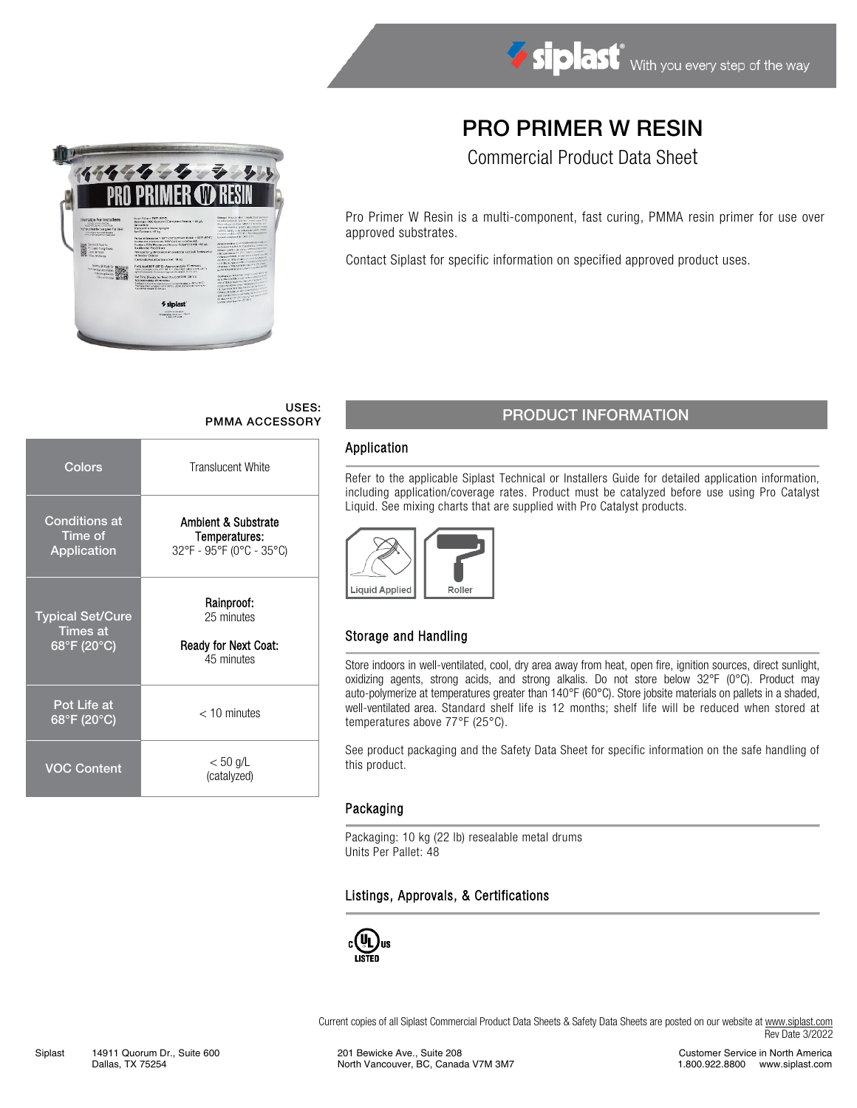

Commercial Product Data Sheet

Pro Primer W Resin is a multi-component, fast curing, PMMA resin primer for use over approved substrates.

Contact Siplast for specific information on specified approved product uses.

# USES:

| Colors                                                    | <b>Translucent White</b>                                                    |  |  |  |  |  |  |
|-----------------------------------------------------------|-----------------------------------------------------------------------------|--|--|--|--|--|--|
| <b>Conditions at</b><br>Time of<br>Application            | <b>Ambient &amp; Substrate</b><br>Temperatures:<br>32°F - 95°F (0°C - 35°C) |  |  |  |  |  |  |
| <b>Typical Set/Cure</b><br><b>Times at</b><br>68°F (20°C) | Rainproof:<br>25 minutes<br><b>Ready for Next Coat:</b><br>45 minutes       |  |  |  |  |  |  |
| Pot Life at<br>68°F (20°C)                                | $<$ 10 minutes                                                              |  |  |  |  |  |  |
| <b>VOC Content</b>                                        | $< 50$ g/L<br>(catalyzed)                                                   |  |  |  |  |  |  |

**Service** 

 $%$ sip

# USES: USES: PMMA ACCESSORY PRODUCT INFORMATION

#### Application

Refer to the applicable Siplast Technical or Installers Guide for detailed application information, including application/coverage rates. Product must be catalyzed before use using Pro Catalyst Liquid. See mixing charts that are supplied with Pro Catalyst products.



## Storage and Handling

Store indoors in well-ventilated, cool, dry area away from heat, open fire, ignition sources, direct sunlight, oxidizing agents, strong acids, and strong alkalis. Do not store below 32°F (0°C). Product may auto-polymerize at temperatures greater than 140°F (60°C). Store jobsite materials on pallets in a shaded, well-ventilated area. Standard shelf life is 12 months; shelf life will be reduced when stored at temperatures above 77°F (25°C).

See product packaging and the Safety Data Sheet for specific information on the safe handling of this product.

## Packaging

Packaging: 10 kg (22 lb) resealable metal drums Units Per Pallet: 48

## Listings, Approvals, & Certifications



Current copies of all Siplast Commercial Product Data Sheets & Safety Data Sheets are posted on our website a[t www.siplast.com](http://www.siplast.com/) Rev Date 3/2022